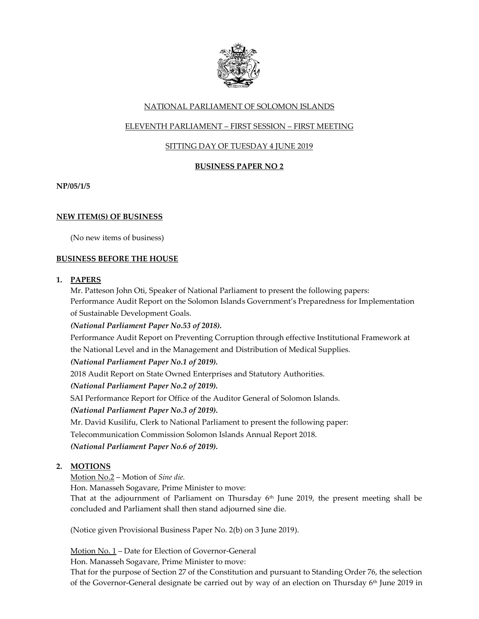

# NATIONAL PARLIAMENT OF SOLOMON ISLANDS

## ELEVENTH PARLIAMENT – FIRST SESSION – FIRST MEETING

## SITTING DAY OF TUESDAY 4 JUNE 2019

### **BUSINESS PAPER NO 2**

**NP/05/1/5**

### **NEW ITEM(S) OF BUSINESS**

(No new items of business)

#### **BUSINESS BEFORE THE HOUSE**

#### **1. PAPERS**

Mr. Patteson John Oti, Speaker of National Parliament to present the following papers: Performance Audit Report on the Solomon Islands Government's Preparedness for Implementation of Sustainable Development Goals.

*(National Parliament Paper No.53 of 2018).*

Performance Audit Report on Preventing Corruption through effective Institutional Framework at the National Level and in the Management and Distribution of Medical Supplies.

*(National Parliament Paper No.1 of 2019).* 

2018 Audit Report on State Owned Enterprises and Statutory Authorities.

*(National Parliament Paper No.2 of 2019).* 

SAI Performance Report for Office of the Auditor General of Solomon Islands.

*(National Parliament Paper No.3 of 2019).*

Mr. David Kusilifu, Clerk to National Parliament to present the following paper:

Telecommunication Commission Solomon Islands Annual Report 2018.

*(National Parliament Paper No.6 of 2019).*

# **2. MOTIONS**

Motion No.2 – Motion of *Sine die.*

Hon. Manasseh Sogavare, Prime Minister to move:

That at the adjournment of Parliament on Thursday  $6<sup>th</sup>$  June 2019, the present meeting shall be concluded and Parliament shall then stand adjourned sine die.

(Notice given Provisional Business Paper No. 2(b) on 3 June 2019).

Motion No. 1 – Date for Election of Governor-General

Hon. Manasseh Sogavare, Prime Minister to move:

That for the purpose of Section 27 of the Constitution and pursuant to Standing Order 76, the selection of the Governor-General designate be carried out by way of an election on Thursday  $6<sup>th</sup>$  June 2019 in